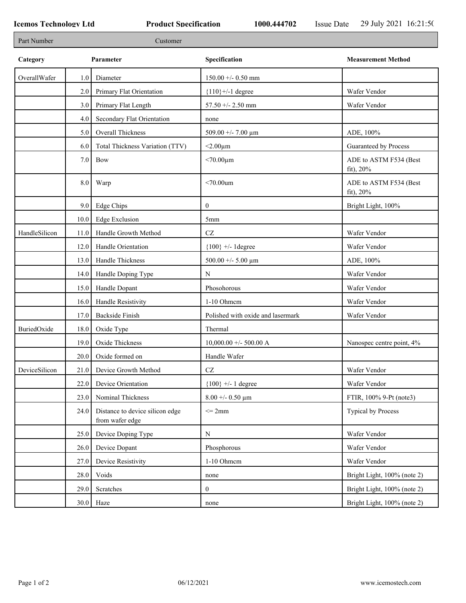| Part Number   |                  | Customer                                           |                                   |                                        |
|---------------|------------------|----------------------------------------------------|-----------------------------------|----------------------------------------|
| Category      |                  | Parameter                                          | Specification                     | <b>Measurement Method</b>              |
| OverallWafer  | 1.0              | Diameter                                           | $150.00 + - 0.50$ mm              |                                        |
|               | 2.0              | Primary Flat Orientation                           | ${110}$ +/-1 degree               | Wafer Vendor                           |
|               | 3.0              | Primary Flat Length                                | $57.50 + - 2.50$ mm               | Wafer Vendor                           |
|               | 4.0              | Secondary Flat Orientation                         | none                              |                                        |
|               | 5.0              | Overall Thickness                                  | 509.00 +/- 7.00 $\mu$ m           | ADE, 100%                              |
|               | 6.0              | Total Thickness Variation (TTV)                    | $<$ 2.00 $\mu$ m                  | Guaranteed by Process                  |
|               | 7.0              | Bow                                                | $< 70.00 \mu m$                   | ADE to ASTM F534 (Best<br>$fit)$ , 20% |
|               | 8.0              | Warp                                               | $<70.00$ um                       | ADE to ASTM F534 (Best<br>fit), $20%$  |
|               | 9.0 <sub>1</sub> | Edge Chips                                         | $\mathbf{0}$                      | Bright Light, 100%                     |
|               | 10.0             | Edge Exclusion                                     | 5mm                               |                                        |
| HandleSilicon | 11.0             | Handle Growth Method                               | $\operatorname{CZ}$               | Wafer Vendor                           |
|               | 12.0             | Handle Orientation                                 | ${100}$ +/- 1degree               | Wafer Vendor                           |
|               | 13.0             | Handle Thickness                                   | 500.00 +/- 5.00 $\mu$ m           | ADE, 100%                              |
|               | 14.0             | Handle Doping Type                                 | $\mathbf N$                       | Wafer Vendor                           |
|               | 15.0             | Handle Dopant                                      | Phosohorous                       | Wafer Vendor                           |
|               | 16.0             | Handle Resistivity                                 | 1-10 Ohmem                        | Wafer Vendor                           |
|               | 17.0             | <b>Backside Finish</b>                             | Polished with oxide and lasermark | Wafer Vendor                           |
| BuriedOxide   | 18.0             | Oxide Type                                         | Thermal                           |                                        |
|               | 19.0             | Oxide Thickness                                    | $10,000.00 +/- 500.00 A$          | Nanospec centre point, 4%              |
|               | 20.0             | Oxide formed on                                    | Handle Wafer                      |                                        |
| DeviceSilicon | 21.0             | Device Growth Method                               | CZ                                | Wafer Vendor                           |
|               | 22.0             | Device Orientation                                 | ${100}$ +/- 1 degree              | Wafer Vendor                           |
|               | 23.0             | Nominal Thickness                                  | $8.00 + 0.50 \mu m$               | FTIR, 100% 9-Pt (note3)                |
|               | 24.0             | Distance to device silicon edge<br>from wafer edge | $\leq$ 2mm                        | Typical by Process                     |
|               | 25.0             | Device Doping Type                                 | N                                 | Wafer Vendor                           |
|               | 26.0             | Device Dopant                                      | Phosphorous                       | Wafer Vendor                           |
|               | 27.0             | Device Resistivity                                 | 1-10 Ohmem                        | Wafer Vendor                           |
|               | 28.0             | Voids                                              | none                              | Bright Light, 100% (note 2)            |
|               | 29.0             | Scratches                                          | $\boldsymbol{0}$                  | Bright Light, 100% (note 2)            |
|               | 30.0             | Haze                                               | none                              | Bright Light, 100% (note 2)            |